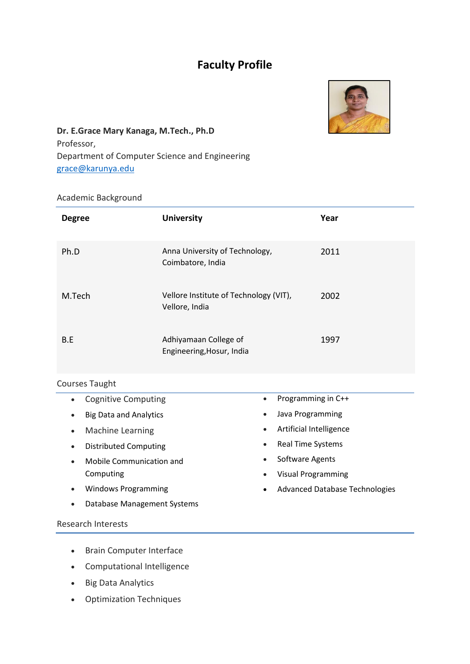# **Faculty Profile**



# **Dr. E.Grace Mary Kanaga, M.Tech., Ph.D**  Professor, Department of Computer Science and Engineering [grace@karunya.edu](mailto:grace@karunya.edu)

## Academic Background

| <b>Degree</b>         | <b>University</b>                                        | Year |
|-----------------------|----------------------------------------------------------|------|
| Ph.D                  | Anna University of Technology,<br>Coimbatore, India      | 2011 |
| M.Tech                | Vellore Institute of Technology (VIT),<br>Vellore, India | 2002 |
| B.E                   | Adhiyamaan College of<br>Engineering, Hosur, India       | 1997 |
| <b>Courses Taught</b> |                                                          |      |

| <b>Cognitive Computing</b>               | Programming in C++                     |
|------------------------------------------|----------------------------------------|
| $\bullet$                                | $\bullet$                              |
| <b>Big Data and Analytics</b>            | Java Programming                       |
| $\bullet$                                | $\bullet$                              |
| Machine Learning                         | Artificial Intelligence                |
| $\bullet$                                | $\bullet$                              |
| <b>Distributed Computing</b>             | <b>Real Time Systems</b>               |
| $\bullet$                                | $\bullet$                              |
| Mobile Communication and                 | Software Agents                        |
| $\bullet$                                | $\bullet$                              |
| Computing                                | <b>Visual Programming</b><br>$\bullet$ |
| <b>Windows Programming</b>               | <b>Advanced Database Technologies</b>  |
| $\bullet$                                | $\bullet$                              |
| Database Management Systems<br>$\bullet$ |                                        |
| Research Interests                       |                                        |

- Brain Computer Interface
- Computational Intelligence
- Big Data Analytics
- Optimization Techniques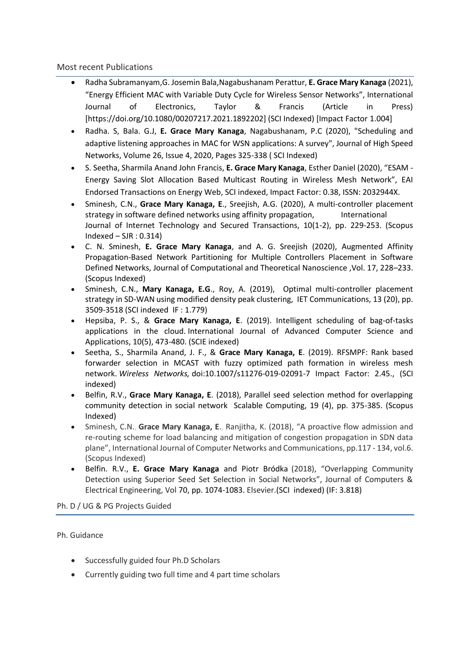#### Most recent Publications

- Radha Subramanyam,G. Josemin Bala,Nagabushanam Perattur, **E. Grace Mary Kanaga** (2021), "Energy Efficient MAC with Variable Duty Cycle for Wireless Sensor Networks", International Journal of Electronics, Taylor & Francis (Article in Press) [https://doi.org/10.1080/00207217.2021.1892202] (SCI Indexed) [Impact Factor 1.004]
- Radha. S, Bala. G.J, **E. Grace Mary Kanaga**, Nagabushanam, P.C (2020), "Scheduling and adaptive listening approaches in MAC for WSN applications: A survey", Journal of High Speed Networks, Volume 26, Issue 4, 2020, Pages 325-338 ( SCI Indexed)
- S. Seetha, Sharmila Anand John Francis, **E. Grace Mary Kanaga**, Esther Daniel (2020), "ESAM Energy Saving Slot Allocation Based Multicast Routing in Wireless Mesh Network", EAI Endorsed Transactions on Energy Web, SCI indexed, Impact Factor: 0.38, ISSN: 2032944X.
- Sminesh, C.N., **Grace Mary Kanaga, E**., Sreejish, A.G. (2020), A multi-controller placement strategy in software defined networks using affinity propagation, International Journal of Internet Technology and Secured Transactions, 10(1-2), pp. 229-253. (Scopus  $Indexed - SJR : 0.314)$
- C. N. Sminesh, **E. Grace Mary Kanaga**, and A. G. Sreejish (2020), Augmented Affinity Propagation-Based Network Partitioning for Multiple Controllers Placement in Software Defined Networks, Journal of Computational and Theoretical Nanoscience ,Vol. 17, 228–233. (Scopus Indexed)
- Sminesh, C.N., **Mary Kanaga, E.G**., Roy, A. (2019), Optimal multi-controller placement strategy in SD-WAN using modified density peak clustering, IET Communications, 13 (20), pp. 3509-3518 (SCI indexed IF : 1.779)
- Hepsiba, P. S., & **Grace Mary Kanaga, E**. (2019). Intelligent scheduling of bag-of-tasks applications in the cloud. International Journal of Advanced Computer Science and Applications, 10(5), 473-480. (SCIE indexed)
- Seetha, S., Sharmila Anand, J. F., & **Grace Mary Kanaga, E**. (2019). RFSMPF: Rank based forwarder selection in MCAST with fuzzy optimized path formation in wireless mesh network. *Wireless Networks,* doi:10.1007/s11276-019-02091-7 Impact Factor: 2.45., (SCI indexed)
- Belfin, R.V., **Grace Mary Kanaga, E**. (2018), Parallel seed selection method for overlapping community detection in social network Scalable Computing, 19 (4), pp. 375-385. (Scopus Indexed)
- Sminesh, C.N., **Grace Mary Kanaga, E**., Ranjitha, K. (2018), "A proactive flow admission and re-routing scheme for load balancing and mitigation of congestion propagation in SDN data plane", International Journal of Computer Networks and Communications, pp.117 - 134, vol.6. (Scopus Indexed)
- Belfin. R.V., **E. Grace Mary Kanaga** and Piotr Bródka (2018), "Overlapping Community Detection using Superior Seed Set Selection in Social Networks", Journal of Computers & Electrical Engineering, Vol 70, pp. 1074-1083. Elsevier.(SCI indexed) (IF: 3.818)

Ph. D / UG & PG Projects Guided

#### Ph. Guidance

- Successfully guided four Ph.D Scholars
- Currently guiding two full time and 4 part time scholars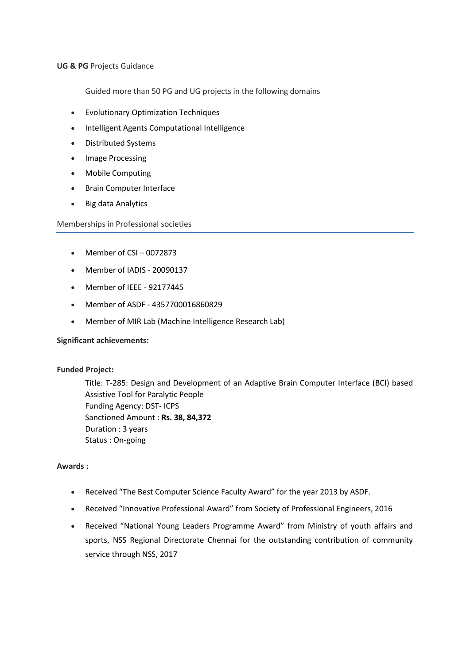#### **UG & PG** Projects Guidance

Guided more than 50 PG and UG projects in the following domains

- Evolutionary Optimization Techniques
- Intelligent Agents Computational Intelligence
- Distributed Systems
- Image Processing
- Mobile Computing
- **•** Brain Computer Interface
- Big data Analytics

Memberships in Professional societies

- $\bullet$  Member of CSI 0072873
- Member of IADIS 20090137
- Member of IEEE 92177445
- Member of ASDF 4357700016860829
- Member of MIR Lab (Machine Intelligence Research Lab)

#### **Significant achievements:**

#### **Funded Project:**

Title: T-285: Design and Development of an Adaptive Brain Computer Interface (BCI) based Assistive Tool for Paralytic People Funding Agency: DST- ICPS Sanctioned Amount : **Rs. 38, 84,372** Duration : 3 years Status : On-going

#### **Awards :**

- Received "The Best Computer Science Faculty Award" for the year 2013 by ASDF.
- Received "Innovative Professional Award" from Society of Professional Engineers, 2016
- Received "National Young Leaders Programme Award" from Ministry of youth affairs and sports, NSS Regional Directorate Chennai for the outstanding contribution of community service through NSS, 2017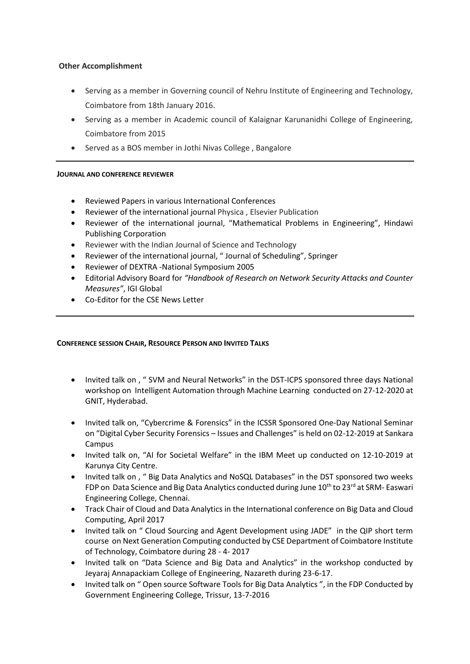#### **Other Accomplishment**

- Serving as a member in Governing council of Nehru Institute of Engineering and Technology, Coimbatore from 18th January 2016.
- Serving as a member in Academic council of Kalaignar Karunanidhi College of Engineering, Coimbatore from 2015
- Served as a BOS member in Jothi Nivas College , Bangalore

#### **JOURNAL AND CONFERENCE REVIEWER**

- Reviewed Papers in various International Conferences
- Reviewer of the international journal Physica , Elsevier Publication
- Reviewer of the international journal, "Mathematical Problems in Engineering", Hindawi Publishing Corporation
- Reviewer with the Indian Journal of Science and Technology
- Reviewer of the international journal, " Journal of Scheduling", Springer
- Reviewer of DEXTRA -National Symposium 2005
- Editorial Advisory Board for *"Handbook of Research on Network Security Attacks and Counter Measures"*, IGI Global
- Co-Editor for the CSE News Letter

#### **CONFERENCE SESSION CHAIR, RESOURCE PERSON AND INVITED TALKS**

- Invited talk on , " SVM and Neural Networks" in the DST-ICPS sponsored three days National workshop on Intelligent Automation through Machine Learning conducted on 27-12-2020 at GNIT, Hyderabad.
- Invited talk on, "Cybercrime & Forensics" in the ICSSR Sponsored One-Day National Seminar on "Digital Cyber Security Forensics – Issues and Challenges" is held on 02-12-2019 at Sankara Campus
- Invited talk on, "AI for Societal Welfare" in the IBM Meet up conducted on 12-10-2019 at Karunya City Centre.
- Invited talk on, " Big Data Analytics and NoSQL Databases" in the DST sponsored two weeks FDP on Data Science and Big Data Analytics conducted during June 10<sup>th</sup> to 23<sup>rd</sup> at SRM- Easwari Engineering College, Chennai.
- Track Chair of Cloud and Data Analytics in the International conference on Big Data and Cloud Computing, April 2017
- Invited talk on " Cloud Sourcing and Agent Development using JADE" in the QIP short term course on Next Generation Computing conducted by CSE Department of Coimbatore Institute of Technology, Coimbatore during 28 - 4- 2017
- Invited talk on "Data Science and Big Data and Analytics" in the workshop conducted by Jeyaraj Annapackiam College of Engineering, Nazareth during 23-6-17.
- Invited talk on " Open source Software Tools for Big Data Analytics ", in the FDP Conducted by Government Engineering College, Trissur, 13-7-2016